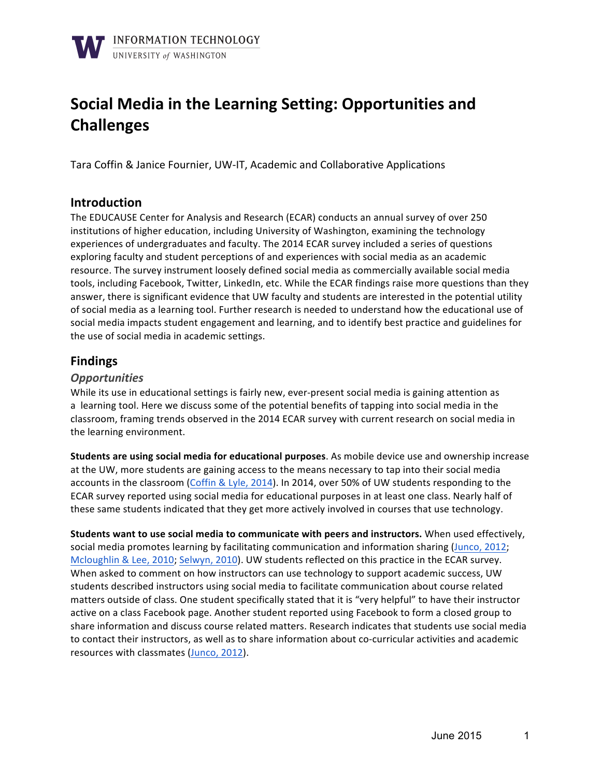# **Social Media in the Learning Setting: Opportunities and Challenges**

Tara Coffin & Janice Fournier, UW-IT, Academic and Collaborative Applications

### **Introduction**

The EDUCAUSE Center for Analysis and Research (ECAR) conducts an annual survey of over 250 institutions of higher education, including University of Washington, examining the technology experiences of undergraduates and faculty. The 2014 ECAR survey included a series of questions exploring faculty and student perceptions of and experiences with social media as an academic resource. The survey instrument loosely defined social media as commercially available social media tools, including Facebook, Twitter, LinkedIn, etc. While the ECAR findings raise more questions than they answer, there is significant evidence that UW faculty and students are interested in the potential utility of social media as a learning tool. Further research is needed to understand how the educational use of social media impacts student engagement and learning, and to identify best practice and guidelines for the use of social media in academic settings.

## **Findings**

#### *Opportunities*

While its use in educational settings is fairly new, ever-present social media is gaining attention as a learning tool. Here we discuss some of the potential benefits of tapping into social media in the classroom, framing trends observed in the 2014 ECAR survey with current research on social media in the learning environment.

**Students are using social media for educational purposes**. As mobile device use and ownership increase at the UW, more students are gaining access to the means necessary to tap into their social media accounts in the classroom (Coffin & Lyle, 2014). In 2014, over 50% of UW students responding to the ECAR survey reported using social media for educational purposes in at least one class. Nearly half of these same students indicated that they get more actively involved in courses that use technology.

**Students want to use social media to communicate with peers and instructors.** When used effectively, social media promotes learning by facilitating communication and information sharing (Junco, 2012; Mcloughlin & Lee, 2010; Selwyn, 2010). UW students reflected on this practice in the ECAR survey. When asked to comment on how instructors can use technology to support academic success, UW students described instructors using social media to facilitate communication about course related matters outside of class. One student specifically stated that it is "very helpful" to have their instructor active on a class Facebook page. Another student reported using Facebook to form a closed group to share information and discuss course related matters. Research indicates that students use social media to contact their instructors, as well as to share information about co-curricular activities and academic resources with classmates (Junco, 2012).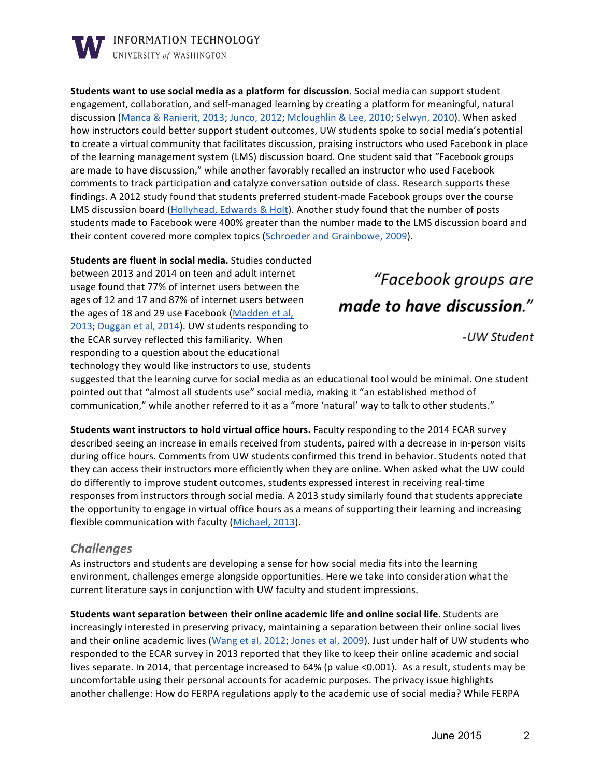

**Students want to use social media as a platform for discussion.** Social media can support student engagement, collaboration, and self-managed learning by creating a platform for meaningful, natural discussion (Manca & Ranierit, 2013; Junco, 2012; Mcloughlin & Lee, 2010; Selwyn, 2010). When asked how instructors could better support student outcomes, UW students spoke to social media's potential to create a virtual community that facilitates discussion, praising instructors who used Facebook in place of the learning management system (LMS) discussion board. One student said that "Facebook groups are made to have discussion," while another favorably recalled an instructor who used Facebook comments to track participation and catalyze conversation outside of class. Research supports these findings. A 2012 study found that students preferred student-made Facebook groups over the course LMS discussion board (Hollyhead, Edwards & Holt). Another study found that the number of posts students made to Facebook were 400% greater than the number made to the LMS discussion board and their content covered more complex topics (Schroeder and Grainbowe, 2009).

**Students are fluent in social media.** Studies conducted between 2013 and 2014 on teen and adult internet usage found that 77% of internet users between the ages of 12 and 17 and 87% of internet users between the ages of 18 and 29 use Facebook (Madden et al, 2013; Duggan et al, 2014). UW students responding to the ECAR survey reflected this familiarity. When responding to a question about the educational technology they would like instructors to use, students

"Facebook groups are made to have discussion."

-UW Student

suggested that the learning curve for social media as an educational tool would be minimal. One student pointed out that "almost all students use" social media, making it "an established method of communication," while another referred to it as a "more 'natural' way to talk to other students."

**Students want instructors to hold virtual office hours.** Faculty responding to the 2014 ECAR survey described seeing an increase in emails received from students, paired with a decrease in in-person visits during office hours. Comments from UW students confirmed this trend in behavior. Students noted that they can access their instructors more efficiently when they are online. When asked what the UW could do differently to improve student outcomes, students expressed interest in receiving real-time responses from instructors through social media. A 2013 study similarly found that students appreciate the opportunity to engage in virtual office hours as a means of supporting their learning and increasing flexible communication with faculty (Michael, 2013).

#### *Challenges*

As instructors and students are developing a sense for how social media fits into the learning environment, challenges emerge alongside opportunities. Here we take into consideration what the current literature says in conjunction with UW faculty and student impressions.

**Students want separation between their online academic life and online social life. Students are** increasingly interested in preserving privacy, maintaining a separation between their online social lives and their online academic lives (Wang et al, 2012; Jones et al, 2009). Just under half of UW students who responded to the ECAR survey in 2013 reported that they like to keep their online academic and social lives separate. In 2014, that percentage increased to 64% (p value <0.001). As a result, students may be uncomfortable using their personal accounts for academic purposes. The privacy issue highlights another challenge: How do FERPA regulations apply to the academic use of social media? While FERPA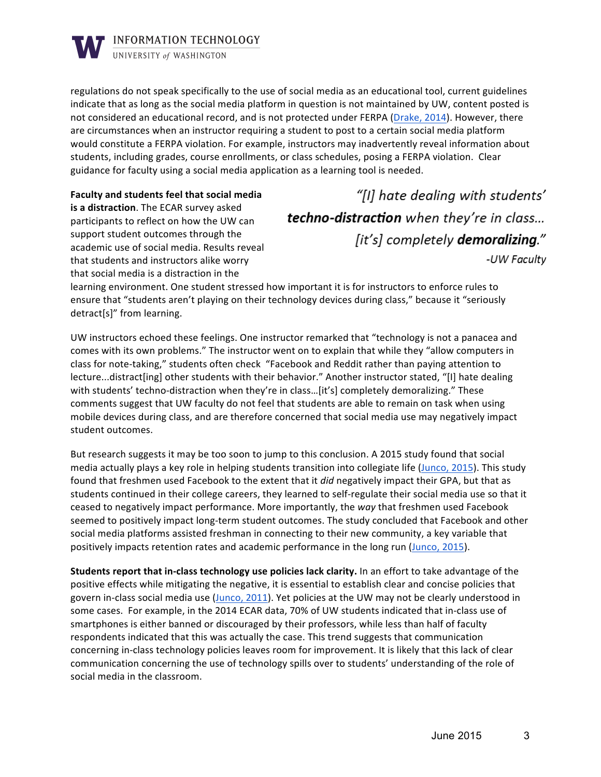

regulations do not speak specifically to the use of social media as an educational tool, current guidelines indicate that as long as the social media platform in question is not maintained by UW, content posted is not considered an educational record, and is not protected under FERPA (Drake, 2014). However, there are circumstances when an instructor requiring a student to post to a certain social media platform would constitute a FERPA violation. For example, instructors may inadvertently reveal information about students, including grades, course enrollments, or class schedules, posing a FERPA violation. Clear guidance for faculty using a social media application as a learning tool is needed.

**Faculty and students feel that social media is a distraction**. The ECAR survey asked participants to reflect on how the UW can support student outcomes through the academic use of social media. Results reveal that students and instructors alike worry that social media is a distraction in the

"[I] hate dealing with students' techno-distraction when they're in class... [it's] completely demoralizing." -UW Faculty

learning environment. One student stressed how important it is for instructors to enforce rules to ensure that "students aren't playing on their technology devices during class," because it "seriously detract[s]" from learning.

UW instructors echoed these feelings. One instructor remarked that "technology is not a panacea and comes with its own problems." The instructor went on to explain that while they "allow computers in class for note-taking," students often check "Facebook and Reddit rather than paying attention to lecture...distract[ing] other students with their behavior." Another instructor stated, "[I] hate dealing with students' techno-distraction when they're in class...[it's] completely demoralizing." These comments suggest that UW faculty do not feel that students are able to remain on task when using mobile devices during class, and are therefore concerned that social media use may negatively impact student outcomes.

But research suggests it may be too soon to jump to this conclusion. A 2015 study found that social media actually plays a key role in helping students transition into collegiate life (Junco, 2015). This study found that freshmen used Facebook to the extent that it *did* negatively impact their GPA, but that as students continued in their college careers, they learned to self-regulate their social media use so that it ceased to negatively impact performance. More importantly, the way that freshmen used Facebook seemed to positively impact long-term student outcomes. The study concluded that Facebook and other social media platforms assisted freshman in connecting to their new community, a key variable that positively impacts retention rates and academic performance in the long run (Junco, 2015).

**Students report that in-class technology use policies lack clarity.** In an effort to take advantage of the positive effects while mitigating the negative, it is essential to establish clear and concise policies that govern in-class social media use (Junco, 2011). Yet policies at the UW may not be clearly understood in some cases. For example, in the 2014 ECAR data, 70% of UW students indicated that in-class use of smartphones is either banned or discouraged by their professors, while less than half of faculty respondents indicated that this was actually the case. This trend suggests that communication concerning in-class technology policies leaves room for improvement. It is likely that this lack of clear communication concerning the use of technology spills over to students' understanding of the role of social media in the classroom.